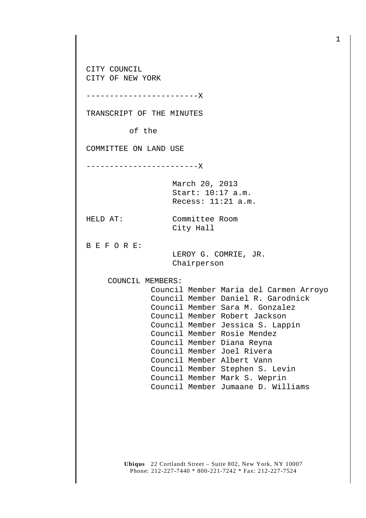**Ubiqus** 22 Cortlandt Street – Suite 802, New York, NY 10007 CITY COUNCIL CITY OF NEW YORK ------------------------X TRANSCRIPT OF THE MINUTES of the COMMITTEE ON LAND USE ------------------------X March 20, 2013 Start: 10:17 a.m. Recess: 11:21 a.m. HELD AT: Committee Room City Hall B E F O R E: LEROY G. COMRIE, JR. Chairperson COUNCIL MEMBERS: Council Member Maria del Carmen Arroyo Council Member Daniel R. Garodnick Council Member Sara M. Gonzalez Council Member Robert Jackson Council Member Jessica S. Lappin Council Member Rosie Mendez Council Member Diana Reyna Council Member Joel Rivera Council Member Albert Vann Council Member Stephen S. Levin Council Member Mark S. Weprin Council Member Jumaane D. Williams

Phone: 212-227-7440 \* 800-221-7242 \* Fax: 212-227-7524

1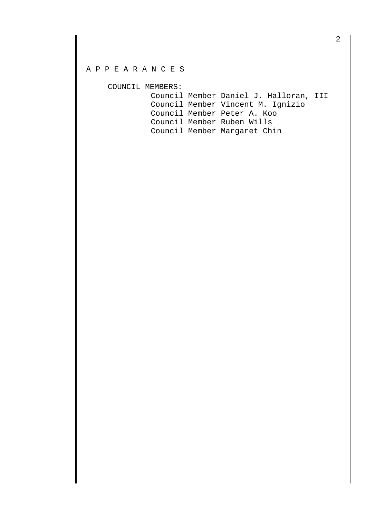## A P P E A R A N C E S

COUNCIL MEMBERS:

| Council Member Daniel J. Halloran, III |
|----------------------------------------|
| Council Member Vincent M. Ignizio      |
| Council Member Peter A. Koo            |
| Council Member Ruben Wills             |
| Council Member Margaret Chin           |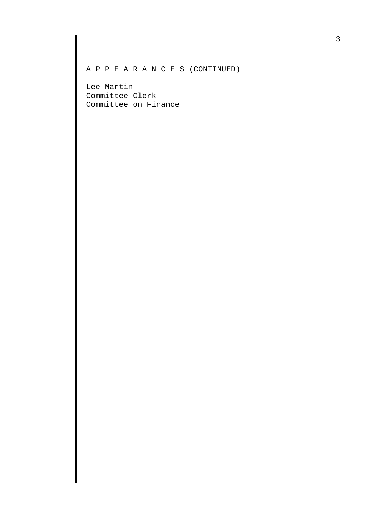A P P E A R A N C E S (CONTINUED)

Lee Martin Committee Clerk Committee on Finance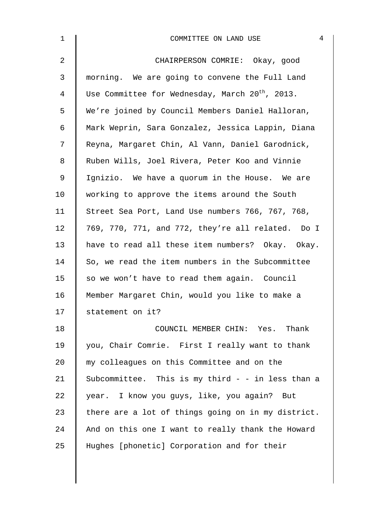| $\mathbf{1}$   | $\overline{4}$<br>COMMITTEE ON LAND USE                     |
|----------------|-------------------------------------------------------------|
| 2              | CHAIRPERSON COMRIE: Okay, good                              |
| 3              | morning. We are going to convene the Full Land              |
| $\overline{4}$ | Use Committee for Wednesday, March 20 <sup>th</sup> , 2013. |
| 5              | We're joined by Council Members Daniel Halloran,            |
| 6              | Mark Weprin, Sara Gonzalez, Jessica Lappin, Diana           |
| 7              | Reyna, Margaret Chin, Al Vann, Daniel Garodnick,            |
| 8              | Ruben Wills, Joel Rivera, Peter Koo and Vinnie              |
| $\mathsf 9$    | Ignizio. We have a quorum in the House. We are              |
| 10             | working to approve the items around the South               |
| 11             | Street Sea Port, Land Use numbers 766, 767, 768,            |
| 12             | 769, 770, 771, and 772, they're all related. Do I           |
| 13             | have to read all these item numbers? Okay. Okay.            |
| 14             | So, we read the item numbers in the Subcommittee            |
| 15             | so we won't have to read them again. Council                |
| 16             | Member Margaret Chin, would you like to make a              |
| 17             | statement on it?                                            |
| 18             | COUNCIL MEMBER CHIN: Yes. Thank                             |
| 19             | you, Chair Comrie. First I really want to thank             |
| 20             | my colleagues on this Committee and on the                  |
| 21             | Subcommittee. This is my third - - in less than a           |
| 22             | year. I know you guys, like, you again? But                 |
| 23             | there are a lot of things going on in my district.          |
| 24             | And on this one I want to really thank the Howard           |
| 25             | Hughes [phonetic] Corporation and for their                 |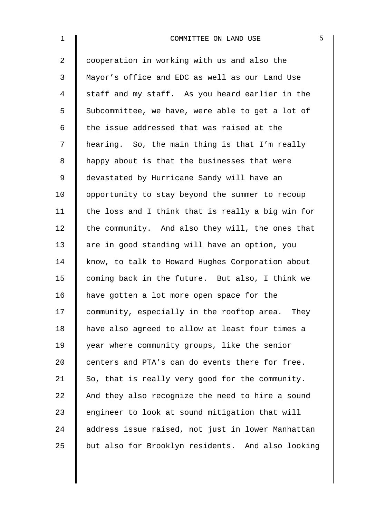| $\mathbf 1$    | COMMITTEE ON LAND USE                             | 5 |
|----------------|---------------------------------------------------|---|
| $\overline{2}$ | cooperation in working with us and also the       |   |
| 3              | Mayor's office and EDC as well as our Land Use    |   |
| $\overline{4}$ | staff and my staff. As you heard earlier in the   |   |
| 5              | Subcommittee, we have, were able to get a lot of  |   |
| 6              | the issue addressed that was raised at the        |   |
| 7              | hearing. So, the main thing is that I'm really    |   |
| 8              | happy about is that the businesses that were      |   |
| $\mathsf 9$    | devastated by Hurricane Sandy will have an        |   |
| 10             | opportunity to stay beyond the summer to recoup   |   |
| 11             | the loss and I think that is really a big win for |   |
| 12             | the community. And also they will, the ones that  |   |
| 13             | are in good standing will have an option, you     |   |
| 14             | know, to talk to Howard Hughes Corporation about  |   |
| 15             | coming back in the future. But also, I think we   |   |
| 16             | have gotten a lot more open space for the         |   |
| 17             | community, especially in the rooftop area. They   |   |
| 18             | have also agreed to allow at least four times a   |   |
| 19             | year where community groups, like the senior      |   |
| 20             | centers and PTA's can do events there for free.   |   |
| 21             | So, that is really very good for the community.   |   |
| 22             | And they also recognize the need to hire a sound  |   |
| 23             | engineer to look at sound mitigation that will    |   |
| 24             | address issue raised, not just in lower Manhattan |   |
| 25             | but also for Brooklyn residents. And also looking |   |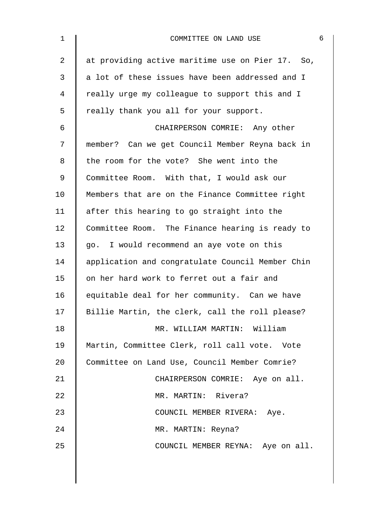| $\mathbf 1$ | 6<br>COMMITTEE ON LAND USE                       |
|-------------|--------------------------------------------------|
| 2           | at providing active maritime use on Pier 17. So, |
| 3           | a lot of these issues have been addressed and I  |
| 4           | really urge my colleague to support this and I   |
| 5           | really thank you all for your support.           |
| 6           | CHAIRPERSON COMRIE: Any other                    |
| 7           | member? Can we get Council Member Reyna back in  |
| 8           | the room for the vote? She went into the         |
| 9           | Committee Room. With that, I would ask our       |
| 10          | Members that are on the Finance Committee right  |
| 11          | after this hearing to go straight into the       |
| 12          | Committee Room. The Finance hearing is ready to  |
| 13          | go. I would recommend an aye vote on this        |
| 14          | application and congratulate Council Member Chin |
| 15          | on her hard work to ferret out a fair and        |
| 16          | equitable deal for her community. Can we have    |
| 17          | Billie Martin, the clerk, call the roll please?  |
| 18          | MR. WILLIAM MARTIN: William                      |
| 19          | Martin, Committee Clerk, roll call vote. Vote    |
| 20          | Committee on Land Use, Council Member Comrie?    |
| 21          | CHAIRPERSON COMRIE: Aye on all.                  |
| 22          | MR. MARTIN: Rivera?                              |
| 23          | COUNCIL MEMBER RIVERA: Aye.                      |
| 24          | MR. MARTIN: Reyna?                               |
| 25          | COUNCIL MEMBER REYNA: Aye on all.                |
|             |                                                  |
|             |                                                  |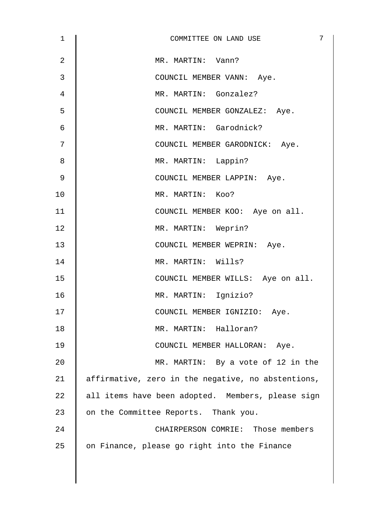| 1              | 7<br>COMMITTEE ON LAND USE                         |
|----------------|----------------------------------------------------|
| $\overline{2}$ | MR. MARTIN: Vann?                                  |
| 3              | COUNCIL MEMBER VANN: Aye.                          |
| 4              | MR. MARTIN: Gonzalez?                              |
| 5              | COUNCIL MEMBER GONZALEZ: Aye.                      |
| 6              | MR. MARTIN: Garodnick?                             |
| 7              | COUNCIL MEMBER GARODNICK: Aye.                     |
| 8              | MR. MARTIN: Lappin?                                |
| $\mathsf 9$    | COUNCIL MEMBER LAPPIN: Aye.                        |
| 10             | MR. MARTIN: Koo?                                   |
| 11             | COUNCIL MEMBER KOO: Aye on all.                    |
| 12             | MR. MARTIN: Weprin?                                |
| 13             | COUNCIL MEMBER WEPRIN: Aye.                        |
| 14             | MR. MARTIN: Wills?                                 |
| 15             | COUNCIL MEMBER WILLS: Aye on all.                  |
| 16             | MR. MARTIN: Ignizio?                               |
| 17             | COUNCIL MEMBER IGNIZIO: Aye.                       |
| 18             | MR. MARTIN: Halloran?                              |
| 19             | COUNCIL MEMBER HALLORAN: Aye.                      |
| 20             | MR. MARTIN: By a vote of 12 in the                 |
| 21             | affirmative, zero in the negative, no abstentions, |
| 22             | all items have been adopted. Members, please sign  |
| 23             | on the Committee Reports. Thank you.               |
| 24             | CHAIRPERSON COMRIE: Those members                  |
| 25             | on Finance, please go right into the Finance       |
|                |                                                    |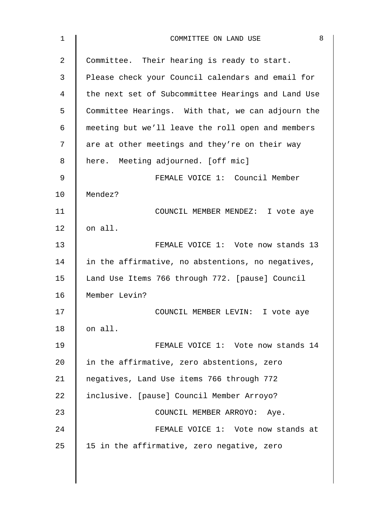| $\mathbf 1$    | 8<br>COMMITTEE ON LAND USE                         |
|----------------|----------------------------------------------------|
| $\overline{2}$ | Committee. Their hearing is ready to start.        |
| 3              | Please check your Council calendars and email for  |
| 4              | the next set of Subcommittee Hearings and Land Use |
| 5              | Committee Hearings. With that, we can adjourn the  |
| 6              | meeting but we'll leave the roll open and members  |
| 7              | are at other meetings and they're on their way     |
| 8              | here. Meeting adjourned. [off mic]                 |
| 9              | FEMALE VOICE 1: Council Member                     |
| 10             | Mendez?                                            |
| 11             | COUNCIL MEMBER MENDEZ: I vote aye                  |
| 12             | on all.                                            |
| 13             | FEMALE VOICE 1: Vote now stands 13                 |
| 14             | in the affirmative, no abstentions, no negatives,  |
| 15             | Land Use Items 766 through 772. [pause] Council    |
| 16             | Member Levin?                                      |
| 17             | COUNCIL MEMBER LEVIN: I vote aye                   |
| $18\,$         | on all.                                            |
| 19             | FEMALE VOICE 1: Vote now stands 14                 |
| 20             | in the affirmative, zero abstentions, zero         |
| 21             | negatives, Land Use items 766 through 772          |
| 22             | inclusive. [pause] Council Member Arroyo?          |
| 23             | COUNCIL MEMBER ARROYO: Aye.                        |
| 24             | FEMALE VOICE 1: Vote now stands at                 |
| 25             | 15 in the affirmative, zero negative, zero         |
|                |                                                    |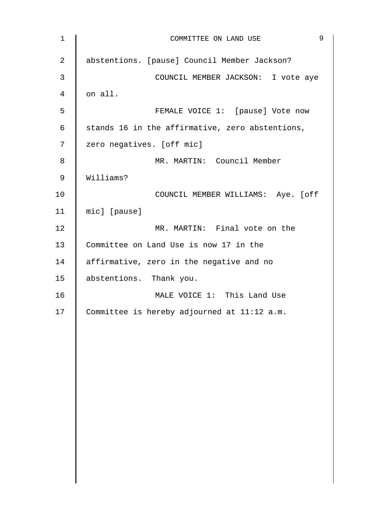| $1\,$          | 9<br>COMMITTEE ON LAND USE                      |
|----------------|-------------------------------------------------|
| $\overline{a}$ | abstentions. [pause] Council Member Jackson?    |
| 3              | COUNCIL MEMBER JACKSON: I vote aye              |
| 4              | on all.                                         |
| 5              | FEMALE VOICE 1: [pause] Vote now                |
| $\epsilon$     | stands 16 in the affirmative, zero abstentions, |
| 7              | zero negatives. [off mic]                       |
| 8              | MR. MARTIN: Council Member                      |
| $\mathsf 9$    | Williams?                                       |
| 10             | COUNCIL MEMBER WILLIAMS: Aye. [off              |
| 11             | mic] [pause]                                    |
| 12             | MR. MARTIN: Final vote on the                   |
| 13             | Committee on Land Use is now 17 in the          |
| 14             | affirmative, zero in the negative and no        |
| 15             | abstentions. Thank you.                         |
| 16             | MALE VOICE 1: This Land Use                     |
| 17             | Committee is hereby adjourned at 11:12 a.m.     |
|                |                                                 |
|                |                                                 |
|                |                                                 |
|                |                                                 |
|                |                                                 |
|                |                                                 |
|                |                                                 |
|                |                                                 |
|                |                                                 |
|                |                                                 |